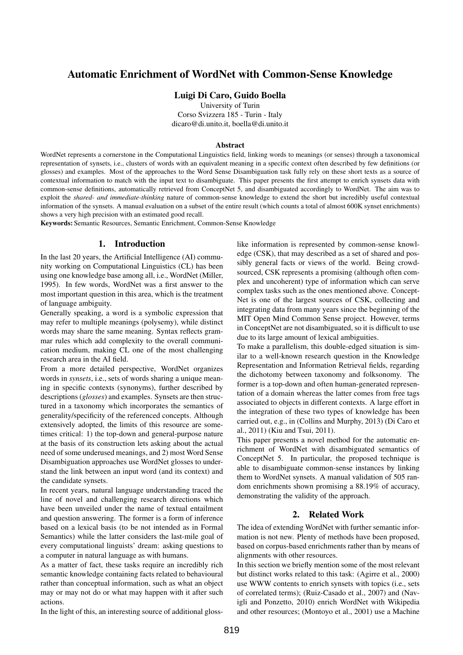# Automatic Enrichment of WordNet with Common-Sense Knowledge

#### Luigi Di Caro, Guido Boella

University of Turin Corso Svizzera 185 - Turin - Italy dicaro@di.unito.it, boella@di.unito.it

#### Abstract

WordNet represents a cornerstone in the Computational Linguistics field, linking words to meanings (or senses) through a taxonomical representation of synsets, i.e., clusters of words with an equivalent meaning in a specific context often described by few definitions (or glosses) and examples. Most of the approaches to the Word Sense Disambiguation task fully rely on these short texts as a source of contextual information to match with the input text to disambiguate. This paper presents the first attempt to enrich synsets data with common-sense definitions, automatically retrieved from ConceptNet 5, and disambiguated accordingly to WordNet. The aim was to exploit the *shared- and immediate-thinking* nature of common-sense knowledge to extend the short but incredibly useful contextual information of the synsets. A manual evaluation on a subset of the entire result (which counts a total of almost 600K synset enrichments) shows a very high precision with an estimated good recall.

Keywords: Semantic Resources, Semantic Enrichment, Common-Sense Knowledge

#### 1. Introduction

In the last 20 years, the Artificial Intelligence (AI) community working on Computational Linguistics (CL) has been using one knowledge base among all, i.e., WordNet (Miller, 1995). In few words, WordNet was a first answer to the most important question in this area, which is the treatment of language ambiguity.

Generally speaking, a word is a symbolic expression that may refer to multiple meanings (polysemy), while distinct words may share the same meaning. Syntax reflects grammar rules which add complexity to the overall communication medium, making CL one of the most challenging research area in the AI field.

From a more detailed perspective, WordNet organizes words in *synsets*, i.e., sets of words sharing a unique meaning in specific contexts (synonyms), further described by descriptions (*glosses*) and examples. Synsets are then structured in a taxonomy which incorporates the semantics of generality/specificity of the referenced concepts. Although extensively adopted, the limits of this resource are sometimes critical: 1) the top-down and general-purpose nature at the basis of its construction lets asking about the actual need of some underused meanings, and 2) most Word Sense Disambiguation approaches use WordNet glosses to understand the link between an input word (and its context) and the candidate synsets.

In recent years, natural language understanding traced the line of novel and challenging research directions which have been unveiled under the name of textual entailment and question answering. The former is a form of inference based on a lexical basis (to be not intended as in Formal Semantics) while the latter considers the last-mile goal of every computational linguists' dream: asking questions to a computer in natural language as with humans.

As a matter of fact, these tasks require an incredibly rich semantic knowledge containing facts related to behavioural rather than conceptual information, such as what an object may or may not do or what may happen with it after such actions.

In the light of this, an interesting source of additional gloss-

like information is represented by common-sense knowledge (CSK), that may described as a set of shared and possibly general facts or views of the world. Being crowdsourced, CSK represents a promising (although often complex and uncoherent) type of information which can serve complex tasks such as the ones mentioned above. Concept-Net is one of the largest sources of CSK, collecting and integrating data from many years since the beginning of the MIT Open Mind Common Sense project. However, terms in ConceptNet are not disambiguated, so it is difficult to use due to its large amount of lexical ambiguities.

To make a parallelism, this double-edged situation is similar to a well-known research question in the Knowledge Representation and Information Retrieval fields, regarding the dichotomy between taxonomy and folksonomy. The former is a top-down and often human-generated representation of a domain whereas the latter comes from free tags associated to objects in different contexts. A large effort in the integration of these two types of knowledge has been carried out, e.g., in (Collins and Murphy, 2013) (Di Caro et al., 2011) (Kiu and Tsui, 2011).

This paper presents a novel method for the automatic enrichment of WordNet with disambiguated semantics of ConceptNet 5. In particular, the proposed technique is able to disambiguate common-sense instances by linking them to WordNet synsets. A manual validation of 505 random enrichments shown promising a 88.19% of accuracy, demonstrating the validity of the approach.

## 2. Related Work

The idea of extending WordNet with further semantic information is not new. Plenty of methods have been proposed, based on corpus-based enrichments rather than by means of alignments with other resources.

In this section we briefly mention some of the most relevant but distinct works related to this task: (Agirre et al., 2000) use WWW contents to enrich synsets with topics (i.e., sets of correlated terms); (Ruiz-Casado et al., 2007) and (Navigli and Ponzetto, 2010) enrich WordNet with Wikipedia and other resources; (Montoyo et al., 2001) use a Machine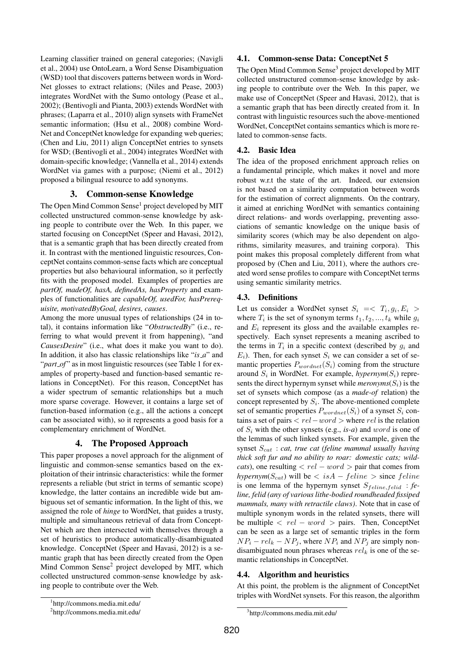Learning classifier trained on general categories; (Navigli et al., 2004) use OntoLearn, a Word Sense Disambiguation (WSD) tool that discovers patterns between words in Word-Net glosses to extract relations; (Niles and Pease, 2003) integrates WordNet with the Sumo ontology (Pease et al., 2002); (Bentivogli and Pianta, 2003) extends WordNet with phrases; (Laparra et al., 2010) align synsets with FrameNet semantic information; (Hsu et al., 2008) combine Word-Net and ConceptNet knowledge for expanding web queries; (Chen and Liu, 2011) align ConceptNet entries to synsets for WSD; (Bentivogli et al., 2004) integrates WordNet with domain-specific knowledge; (Vannella et al., 2014) extends WordNet via games with a purpose; (Niemi et al., 2012) proposed a bilingual resource to add synonyms.

## 3. Common-sense Knowledge

The Open Mind Common Sense<sup>1</sup> project developed by MIT collected unstructured common-sense knowledge by asking people to contribute over the Web. In this paper, we started focusing on ConceptNet (Speer and Havasi, 2012), that is a semantic graph that has been directly created from it. In contrast with the mentioned linguistic resources, ConceptNet contains common-sense facts which are conceptual properties but also behavioural information, so it perfectly fits with the proposed model. Examples of properties are *partOf, madeOf, hasA, definedAs, hasProperty* and examples of functionalities are *capableOf, usedFor, hasPrerequisite, motivatedByGoal, desires, causes*.

Among the more unusual types of relationships (24 in total), it contains information like "*ObstructedBy*" (i.e., referring to what would prevent it from happening), "and *CausesDesire*" (i.e., what does it make you want to do). In addition, it also has classic relationships like "*is a*" and "*part\_of*" as in most linguistic resources (see Table 1 for examples of property-based and function-based semantic relations in ConceptNet). For this reason, ConceptNet has a wider spectrum of semantic relationships but a much more sparse coverage. However, it contains a large set of function-based information (e.g., all the actions a concept can be associated with), so it represents a good basis for a complementary enrichment of WordNet.

# 4. The Proposed Approach

This paper proposes a novel approach for the alignment of linguistic and common-sense semantics based on the exploitation of their intrinsic characteristics: while the former represents a reliable (but strict in terms of semantic scope) knowledge, the latter contains an incredible wide but ambiguous set of semantic information. In the light of this, we assigned the role of *hinge* to WordNet, that guides a trusty, multiple and simultaneous retrieval of data from Concept-Net which are then intersected with themselves through a set of heuristics to produce automatically-disambiguated knowledge. ConceptNet (Speer and Havasi, 2012) is a semantic graph that has been directly created from the Open Mind Common Sense<sup>2</sup> project developed by MIT, which collected unstructured common-sense knowledge by asking people to contribute over the Web.

# 4.1. Common-sense Data: ConceptNet 5

The Open Mind Common Sense<sup>3</sup> project developed by MIT collected unstructured common-sense knowledge by asking people to contribute over the Web. In this paper, we make use of ConceptNet (Speer and Havasi, 2012), that is a semantic graph that has been directly created from it. In contrast with linguistic resources such the above-mentioned WordNet, ConceptNet contains semantics which is more related to common-sense facts.

# 4.2. Basic Idea

The idea of the proposed enrichment approach relies on a fundamental principle, which makes it novel and more robust w.r.t the state of the art. Indeed, our extension is not based on a similarity computation between words for the estimation of correct alignments. On the contrary, it aimed at enriching WordNet with semantics containing direct relations- and words overlapping, preventing associations of semantic knowledge on the unique basis of similarity scores (which may be also dependent on algorithms, similarity measures, and training corpora). This point makes this proposal completely different from what proposed by (Chen and Liu, 2011), where the authors created word sense profiles to compare with ConceptNet terms using semantic similarity metrics.

# 4.3. Definitions

Let us consider a WordNet synset  $S_i = \langle T_i, g_i, E_i \rangle$ where  $T_i$  is the set of synonym terms  $t_1, t_2, ..., t_k$  while  $g_i$ and  $E_i$  represent its gloss and the available examples respectively. Each synset represents a meaning ascribed to the terms in  $T_i$  in a specific context (described by  $g_i$  and  $E_i$ ). Then, for each synset  $S_i$  we can consider a set of semantic properties  $P_{wordnet}(S_i)$  coming from the structure around  $S_i$  in WordNet. For example,  $hypernym(S_i)$  represents the direct hypernym synset while  $meronyms(S_i)$  is the set of synsets which compose (as a *made-of* relation) the concept represented by  $S_i$ . The above-mentioned complete set of semantic properties  $P_{wordnet}(S_i)$  of a synset  $S_i$  contains a set of pairs  $\langle rel-word \rangle$  where rel is the relation of  $S_i$  with the other synsets (e.g., *is-a*) and word is one of the lemmas of such linked synsets. For example, given the synset  $S_{cat}$ : *cat, true cat (feline mammal usually having thick soft fur and no ability to roar: domestic cats; wildcats*), one resulting  $\langle rel-word \rangle$  pair that comes from *hypernym*( $S_{cat}$ ) will be < isA – feline > since feline is one lemma of the hypernym synset  $S_{feline, felid}$  : *feline, felid (any of various lithe-bodied roundheaded fissiped mammals, many with retractile claws)*. Note that in case of multiple synonym words in the related synsets, there will be multiple  $\langle rel-word \rangle$  pairs. Then, ConceptNet can be seen as a large set of semantic triples in the form  $NP_i - rel_k - NP_j$ , where  $NP_i$  and  $NP_j$  are simply nondisambiguated noun phrases whereas  $rel_k$  is one of the semantic relationships in ConceptNet.

## 4.4. Algorithm and heuristics

At this point, the problem is the alignment of ConceptNet triples with WordNet synsets. For this reason, the algorithm

<sup>1</sup> http://commons.media.mit.edu/

<sup>2</sup> http://commons.media.mit.edu/

<sup>3</sup> http://commons.media.mit.edu/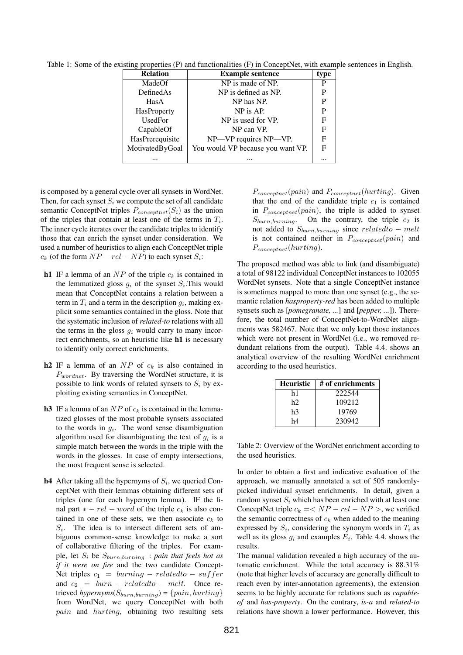Table 1: Some of the existing properties (P) and functionalities (F) in ConceptNet, with example sentences in English.

| <b>Relation</b>    | <b>Example sentence</b>           | type |
|--------------------|-----------------------------------|------|
| MadeOf             | NP is made of NP.                 | P    |
| DefinedAs          | NP is defined as NP.              | P    |
| HasA               | NP has NP.                        | P    |
| <b>HasProperty</b> | NP is AP.                         | P    |
| UsedFor            | NP is used for VP.                | F    |
| CapableOf          | NP can VP.                        | F    |
| HasPrerequisite    | NP-VP requires NP-VP.             |      |
| MotivatedByGoal    | You would VP because you want VP. | F    |
|                    |                                   |      |

is composed by a general cycle over all synsets in WordNet. Then, for each synset  $S_i$  we compute the set of all candidate semantic ConceptNet triples  $P_{conceptnet}(S_i)$  as the union of the triples that contain at least one of the terms in  $T_i$ . The inner cycle iterates over the candidate triples to identify those that can enrich the synset under consideration. We used a number of heuristics to align each ConceptNet triple  $c_k$  (of the form  $NP - rel - NP$ ) to each synset  $S_i$ :

- h1 IF a lemma of an  $NP$  of the triple  $c_k$  is contained in the lemmatized gloss  $g_i$  of the synset  $S_i$ . This would mean that ConceptNet contains a relation between a term in  $T_i$  and a term in the description  $g_i$ , making explicit some semantics contained in the gloss. Note that the systematic inclusion of *related-to* relations with all the terms in the gloss  $q_i$  would carry to many incorrect enrichments, so an heuristic like h1 is necessary to identify only correct enrichments.
- h2 IF a lemma of an  $NP$  of  $c_k$  is also contained in  $P_{wordnet}$ . By traversing the WordNet structure, it is possible to link words of related synsets to  $S_i$  by exploiting existing semantics in ConceptNet.
- h3 IF a lemma of an  $NP$  of  $c_k$  is contained in the lemmatized glosses of the most probable synsets associated to the words in  $g_i$ . The word sense disambiguation algorithm used for disambiguating the text of  $g_i$  is a simple match between the words in the triple with the words in the glosses. In case of empty intersections, the most frequent sense is selected.
- **h4** After taking all the hypernyms of  $S_i$ , we queried ConceptNet with their lemmas obtaining different sets of triples (one for each hypernym lemma). IF the final part  $* - rel - word$  of the triple  $c_k$  is also contained in one of these sets, we then associate  $c_k$  to  $S_i$ . The idea is to intersect different sets of ambiguous common-sense knowledge to make a sort of collaborative filtering of the triples. For example, let  $S_i$  be  $S_{burn, burning}$  : *pain that feels hot as if it were on fire* and the two candidate Concept-Net triples  $c_1 = burning - related to - suffer$ and  $c_2 = burn - related to - melt$ . Once retrieved *hypernyms* $(S_{burn,burning}) = \{pain, hurting\}$ from WordNet, we query ConceptNet with both pain and hurting, obtaining two resulting sets

 $P_{conceptnet}(pain)$  and  $P_{conceptnet}(hurting)$ . Given that the end of the candidate triple  $c_1$  is contained in  $P_{conceptnet}(pain)$ , the triple is added to synset  $S_{burn, burning}$ . On the contrary, the triple  $c_2$  is not added to  $S_{burn, burning}$  since related to – melt is not contained neither in  $P_{conceptnet}(pain)$  and  $P_{conceptnet}(hurting).$ 

The proposed method was able to link (and disambiguate) a total of 98122 individual ConceptNet instances to 102055 WordNet synsets. Note that a single ConceptNet instance is sometimes mapped to more than one synset (e.g., the semantic relation *hasproperty-red* has been added to multiple synsets such as [*pomegranate, ...*] and [*pepper, ...*]). Therefore, the total number of ConceptNet-to-WordNet alignments was 582467. Note that we only kept those instances which were not present in WordNet (i.e., we removed redundant relations from the output). Table 4.4. shows an analytical overview of the resulting WordNet enrichment according to the used heuristics.

| <b>Heuristic</b> | # of enrichments |
|------------------|------------------|
| h1               | 222544           |
| h2               | 109212           |
| h3               | 19769            |
| h4               | 230942           |

Table 2: Overview of the WordNet enrichment according to the used heuristics.

In order to obtain a first and indicative evaluation of the approach, we manually annotated a set of 505 randomlypicked individual synset enrichments. In detail, given a random synset  $S_i$  which has been enriched with at least one ConceptNet triple  $c_k = \langle NP - rel - NP \rangle$ , we verified the semantic correctness of  $c_k$  when added to the meaning expressed by  $S_i$ , considering the synonym words in  $T_i$  as well as its gloss  $g_i$  and examples  $E_i$ . Table 4.4. shows the results.

The manual validation revealed a high accuracy of the automatic enrichment. While the total accuracy is 88.31% (note that higher levels of accuracy are generally difficult to reach even by inter-annotation agreements), the extension seems to be highly accurate for relations such as *capableof* and *has-property*. On the contrary, *is-a* and *related-to* relations have shown a lower performance. However, this